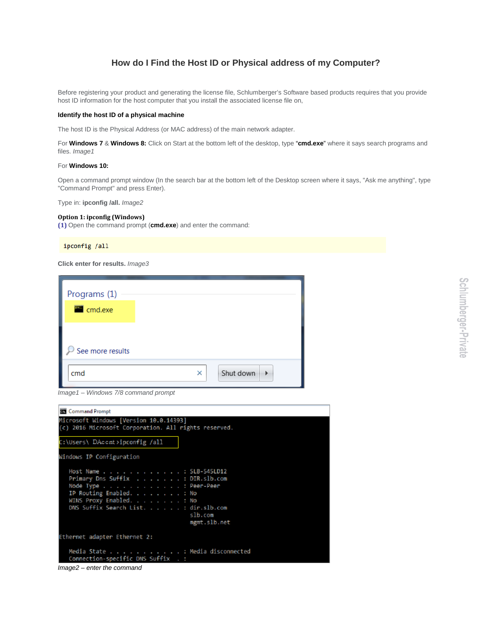## **How do I Find the Host ID or Physical address of my Computer?**

Before registering your product and generating the license file, Schlumberger's Software based products requires that you provide host ID information for the host computer that you install the associated license file on,

## **Identify the host ID of a physical machine**

The host ID is the Physical Address (or MAC address) of the main network adapter.

For **Windows 7** & **Windows 8:** Click on Start at the bottom left of the desktop, type "**cmd.exe**" where it says search programs and files. *Image1*

## For **Windows 10:**

Open a command prompt window (In the search bar at the bottom left of the Desktop screen where it says, "Ask me anything", type "Command Prompt" and press Enter).

Type in: **ipconfig /all.** *Image2*

## **Option 1: ipconfig (Windows)**

**(1)** Open the command prompt (**cmd.exe**) and enter the command:

ipconfig /all

**Click enter for results.** *Image3*

| Programs (1)<br>and.exe |   |                |
|-------------------------|---|----------------|
|                         |   |                |
| See more results        |   |                |
| cmd                     | × | Shut down<br>ь |

*Image1 – Windows 7/8 command prompt*

| <b>But</b> Command Prompt                                                                                                                                                                                    |
|--------------------------------------------------------------------------------------------------------------------------------------------------------------------------------------------------------------|
| Microsoft Windows [Version 10.0.14393]<br>(c) 2016 Microsoft Corporation. All rights reserved.                                                                                                               |
| C:\Users\ DAccnt>ipconfig /all                                                                                                                                                                               |
| Windows IP Configuration                                                                                                                                                                                     |
| Host Name SLB-545LD12<br>Primary Dns Suffix : DIR.slb.com<br>Node Type : Peer-Peer<br>IP Routing Enabled. No<br>WINS Proxy Enabled. : No<br>DNS Suffix Search List. : dir.slb.com<br>slb.com<br>mgmt.slb.net |
| Ethernet adapter Ethernet 2:                                                                                                                                                                                 |
| Media State Hedia disconnected<br>Connection-specific DNS Suffix . :                                                                                                                                         |

*Image2 – enter the command*